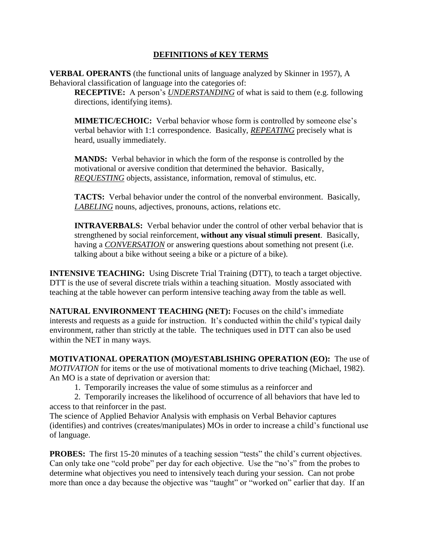## **DEFINITIONS of KEY TERMS**

**VERBAL OPERANTS** (the functional units of language analyzed by Skinner in 1957), A Behavioral classification of language into the categories of:

**RECEPTIVE:** A person's *UNDERSTANDING* of what is said to them (e.g. following directions, identifying items).

**MIMETIC/ECHOIC:** Verbal behavior whose form is controlled by someone else's verbal behavior with 1:1 correspondence. Basically, *REPEATING* precisely what is heard, usually immediately.

**MANDS:** Verbal behavior in which the form of the response is controlled by the motivational or aversive condition that determined the behavior. Basically, *REQUESTING* objects, assistance, information, removal of stimulus, etc.

**TACTS:** Verbal behavior under the control of the nonverbal environment. Basically, *LABELING* nouns, adjectives, pronouns, actions, relations etc.

**INTRAVERBALS:** Verbal behavior under the control of other verbal behavior that is strengthened by social reinforcement, **without any visual stimuli present**. Basically, having a *CONVERSATION* or answering questions about something not present (i.e. talking about a bike without seeing a bike or a picture of a bike).

**INTENSIVE TEACHING:** Using Discrete Trial Training (DTT), to teach a target objective. DTT is the use of several discrete trials within a teaching situation. Mostly associated with teaching at the table however can perform intensive teaching away from the table as well.

**NATURAL ENVIRONMENT TEACHING (NET):** Focuses on the child's immediate interests and requests as a guide for instruction. It's conducted within the child's typical daily environment, rather than strictly at the table. The techniques used in DTT can also be used within the NET in many ways.

**MOTIVATIONAL OPERATION (MO)/ESTABLISHING OPERATION (EO):** The use of *MOTIVATION* for items or the use of motivational moments to drive teaching (Michael, 1982). An MO is a state of deprivation or aversion that:

1. Temporarily increases the value of some stimulus as a reinforcer and

2. Temporarily increases the likelihood of occurrence of all behaviors that have led to access to that reinforcer in the past.

The science of Applied Behavior Analysis with emphasis on Verbal Behavior captures (identifies) and contrives (creates/manipulates) MOs in order to increase a child's functional use of language.

**PROBES:** The first 15-20 minutes of a teaching session "tests" the child's current objectives. Can only take one "cold probe" per day for each objective. Use the "no's" from the probes to determine what objectives you need to intensively teach during your session. Can not probe more than once a day because the objective was "taught" or "worked on" earlier that day. If an